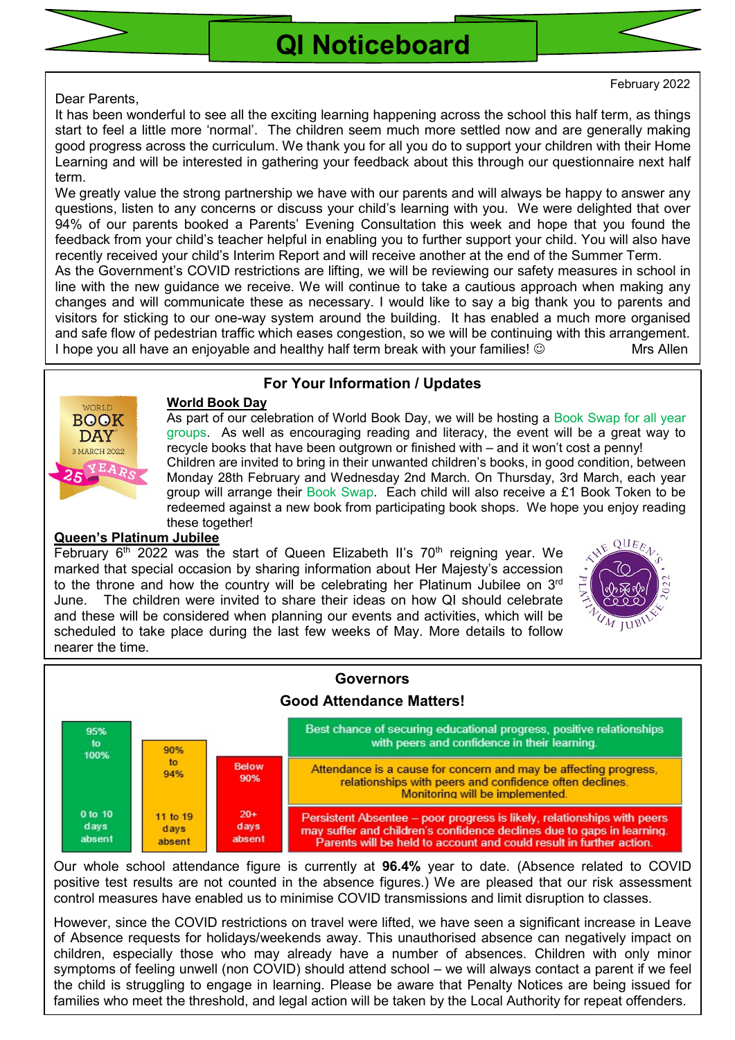



Dear Parents,

It has been wonderful to see all the exciting learning happening across the school this half term, as things start to feel a little more 'normal'. The children seem much more settled now and are generally making good progress across the curriculum. We thank you for all you do to support your children with their Home Learning and will be interested in gathering your feedback about this through our questionnaire next half term.

We greatly value the strong partnership we have with our parents and will always be happy to answer any questions, listen to any concerns or discuss your child's learning with you. We were delighted that over 94% of our parents booked a Parents' Evening Consultation this week and hope that you found the feedback from your child's teacher helpful in enabling you to further support your child. You will also have recently received your child's Interim Report and will receive another at the end of the Summer Term.

As the Government's COVID restrictions are lifting, we will be reviewing our safety measures in school in line with the new guidance we receive. We will continue to take a cautious approach when making any changes and will communicate these as necessary. I would like to say a big thank you to parents and visitors for sticking to our one-way system around the building. It has enabled a much more organised and safe flow of pedestrian traffic which eases congestion, so we will be continuing with this arrangement. I hope you all have an enjoyable and healthy half term break with your families!  $\circledcirc$  Mrs Allen



### For Your Information / Updates

#### World Book Day

As part of our celebration of World Book Day, we will be hosting a Book Swap for all year groups. As well as encouraging reading and literacy, the event will be a great way to recycle books that have been outgrown or finished with – and it won't cost a penny! Children are invited to bring in their unwanted children's books, in good condition, between Monday 28th February and Wednesday 2nd March. On Thursday, 3rd March, each year group will arrange their Book Swap. Each child will also receive a £1 Book Token to be redeemed against a new book from participating book shops. We hope you enjoy reading these together!

#### Queen's Platinum Jubilee

February  $6<sup>th</sup>$  2022 was the start of Queen Elizabeth II's 70<sup>th</sup> reigning year. We marked that special occasion by sharing information about Her Majesty's accession to the throne and how the country will be celebrating her Platinum Jubilee on  $3<sup>rd</sup>$ June. The children were invited to share their ideas on how QI should celebrate and these will be considered when planning our events and activities, which will be scheduled to take place during the last few weeks of May. More details to follow nearer the time.





Our whole school attendance figure is currently at 96.4% year to date. (Absence related to COVID positive test results are not counted in the absence figures.) We are pleased that our risk assessment control measures have enabled us to minimise COVID transmissions and limit disruption to classes.

However, since the COVID restrictions on travel were lifted, we have seen a significant increase in Leave of Absence requests for holidays/weekends away. This unauthorised absence can negatively impact on children, especially those who may already have a number of absences. Children with only minor symptoms of feeling unwell (non COVID) should attend school – we will always contact a parent if we feel the child is struggling to engage in learning. Please be aware that Penalty Notices are being issued for families who meet the threshold, and legal action will be taken by the Local Authority for repeat offenders.